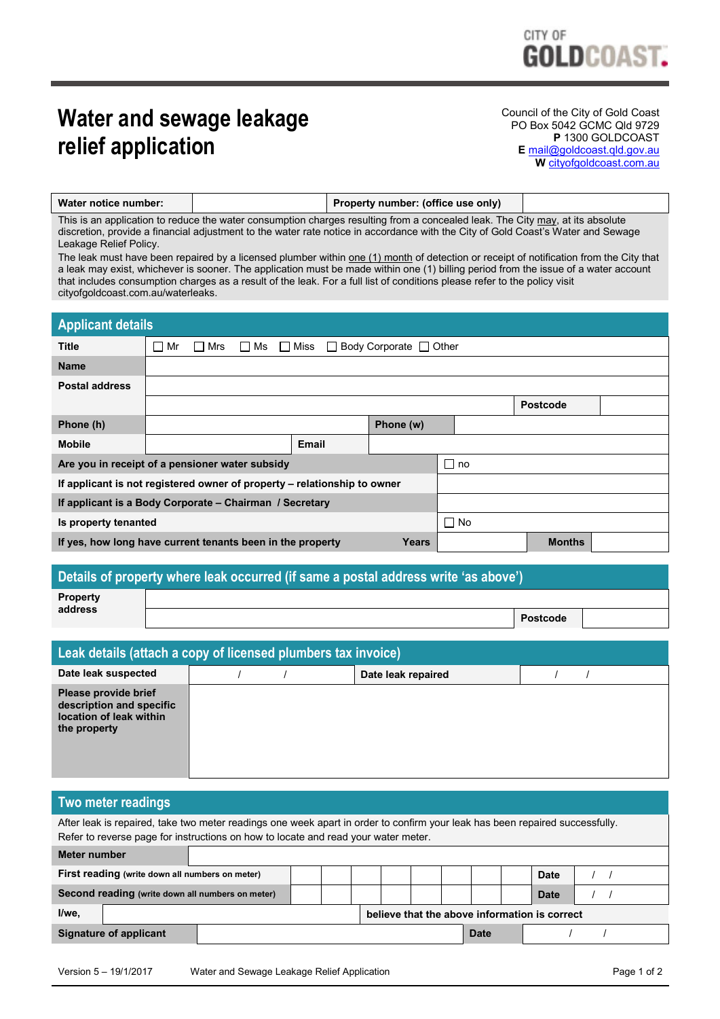# **Water and sewage leakage relief application**

Council of the City of Gold Coast PO Box 5042 GCMC Qld 9729 **P** 1300 GOLDCOAST **E** [mail@goldcoast.qld.gov.au](mailto:mail@goldcoast.qld.gov.au) **W** [cityofgoldcoast.com.au](http://www.goldcoast.qld.gov.au/)

| Water notice number: | Property number: (office use only) |  |
|----------------------|------------------------------------|--|
|                      |                                    |  |

This is an application to reduce the water consumption charges resulting from a concealed leak. The City may, at its absolute discretion, provide a financial adjustment to the water rate notice in accordance with the City of Gold Coast's Water and Sewage Leakage Relief Policy.

The leak must have been repaired by a licensed plumber within one (1) month of detection or receipt of notification from the City that a leak may exist, whichever is sooner. The application must be made within one (1) billing period from the issue of a water account that includes consumption charges as a result of the leak. For a full list of conditions please refer to the policy visit cityofgoldcoast.com.au/waterleaks.

| <b>Applicant details</b>                                                 |    |     |                       |       |                                    |               |      |                 |  |
|--------------------------------------------------------------------------|----|-----|-----------------------|-------|------------------------------------|---------------|------|-----------------|--|
| <b>Title</b>                                                             | Mr | Mrs | $\Box$ Ms $\Box$ Miss |       | $\Box$ Body Corporate $\Box$ Other |               |      |                 |  |
| <b>Name</b>                                                              |    |     |                       |       |                                    |               |      |                 |  |
| <b>Postal address</b>                                                    |    |     |                       |       |                                    |               |      |                 |  |
|                                                                          |    |     |                       |       |                                    |               |      | <b>Postcode</b> |  |
| Phone (h)                                                                |    |     |                       |       | Phone (w)                          |               |      |                 |  |
| <b>Mobile</b>                                                            |    |     |                       | Email |                                    |               |      |                 |  |
| Are you in receipt of a pensioner water subsidy                          |    |     |                       |       | ∩ no                               |               |      |                 |  |
| If applicant is not registered owner of property – relationship to owner |    |     |                       |       |                                    |               |      |                 |  |
| If applicant is a Body Corporate – Chairman / Secretary                  |    |     |                       |       |                                    |               |      |                 |  |
| Is property tenanted                                                     |    |     |                       |       |                                    |               | ∩ No |                 |  |
| If yes, how long have current tenants been in the property<br>Years      |    |     |                       |       |                                    | <b>Months</b> |      |                 |  |

#### **Details of property where leak occurred (if same a postal address write 'as above')**

| Property<br>address |                 |  |
|---------------------|-----------------|--|
|                     | <b>Postcode</b> |  |

| Leak details (attach a copy of licensed plumbers tax invoice)                               |  |  |                    |  |  |
|---------------------------------------------------------------------------------------------|--|--|--------------------|--|--|
| Date leak suspected                                                                         |  |  | Date leak repaired |  |  |
| Please provide brief<br>description and specific<br>location of leak within<br>the property |  |  |                    |  |  |

| Two meter readings                                                                                                                                                                                                 |                                               |             |             |  |  |  |
|--------------------------------------------------------------------------------------------------------------------------------------------------------------------------------------------------------------------|-----------------------------------------------|-------------|-------------|--|--|--|
| After leak is repaired, take two meter readings one week apart in order to confirm your leak has been repaired successfully.<br>Refer to reverse page for instructions on how to locate and read your water meter. |                                               |             |             |  |  |  |
| Meter number                                                                                                                                                                                                       |                                               |             |             |  |  |  |
| First reading (write down all numbers on meter)                                                                                                                                                                    |                                               |             | <b>Date</b> |  |  |  |
| Second reading (write down all numbers on meter)                                                                                                                                                                   |                                               |             | <b>Date</b> |  |  |  |
| I/we.                                                                                                                                                                                                              | believe that the above information is correct |             |             |  |  |  |
| Signature of applicant                                                                                                                                                                                             |                                               | <b>Date</b> |             |  |  |  |